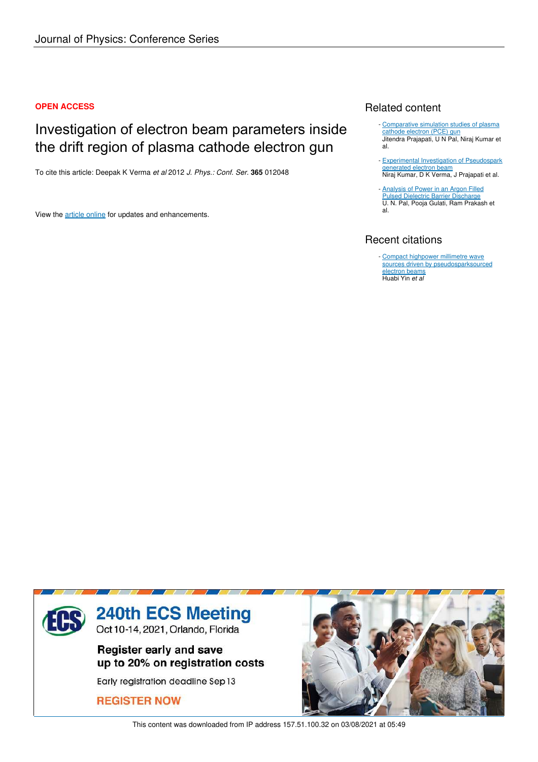#### **OPEN ACCESS**

## Investigation of electron beam parameters inside the drift region of plasma cathode electron gun

To cite this article: Deepak K Verma *et al* 2012 *J. Phys.: Conf. Ser.* **365** 012048

View the article online for updates and enhancements.

## Related content

- Comparative simulation studies of plasma cathode electron (PCE) gun Jitendra Prajapati, U N Pal, Niraj Kumar et al.
- Experimental Investigation of Pseudospark generated electron beam Niraj Kumar, D K Verma, J Prajapati et al. -
- Analysis of Power in an Argon Filled Pulsed Dielectric Barrier Discharge U. N. Pal, Pooja Gulati, Ram Prakash et al. -

## Recent citations

- Compact highpower millimetre wave sources driven by pseudosparksourced electron beams Huabi Yin *et al*



This content was downloaded from IP address 157.51.100.32 on 03/08/2021 at 05:49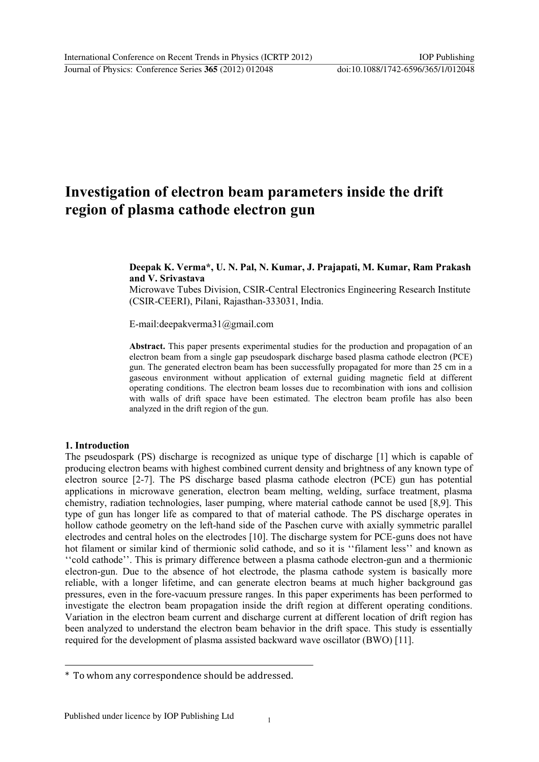# Investigation of electron beam parameters inside the drift region of plasma cathode electron gun

#### Deepak K. Verma\*, U. N. Pal, N. Kumar, J. Prajapati, M. Kumar, Ram Prakash and V. Srivastava

Microwave Tubes Division, CSIR-Central Electronics Engineering Research Institute (CSIR-CEERI), Pilani, Rajasthan-333031, India.

Email:deepakverma31@gmail.com

Abstract. This paper presents experimental studies for the production and propagation of an electron beam from a single gap pseudospark discharge based plasma cathode electron (PCE) gun. The generated electron beam has been successfully propagated for more than 25 cm in a gaseous environment without application of external guiding magnetic field at different operating conditions. The electron beam losses due to recombination with ions and collision with walls of drift space have been estimated. The electron beam profile has also been analyzed in the drift region of the gun.

#### 1. Introduction

The pseudospark (PS) discharge is recognized as unique type of discharge [1] which is capable of producing electron beams with highest combined current density and brightness of any known type of electron source [2-7]. The PS discharge based plasma cathode electron (PCE) gun has potential applications in microwave generation, electron beam melting, welding, surface treatment, plasma chemistry, radiation technologies, laser pumping, where material cathode cannot be used [8,9]. This type of gun has longer life as compared to that of material cathode. The PS discharge operates in hollow cathode geometry on the left-hand side of the Paschen curve with axially symmetric parallel electrodes and central holes on the electrodes [10]. The discharge system for PCE-guns does not have hot filament or similar kind of thermionic solid cathode, and so it is "filament less" and known as "cold cathode". This is primary difference between a plasma cathode electron-gun and a thermionic electron-gun. Due to the absence of hot electrode, the plasma cathode system is basically more reliable, with a longer lifetime, and can generate electron beams at much higher background gas pressures, even in the fore-vacuum pressure ranges. In this paper experiments has been performed to investigate the electron beam propagation inside the drift region at different operating conditions. Variation in the electron beam current and discharge current at different location of drift region has been analyzed to understand the electron beam behavior in the drift space. This study is essentially required for the development of plasma assisted backward wave oscillator (BWO) [11].

<sup>\*</sup> To whom any correspondence should be addressed.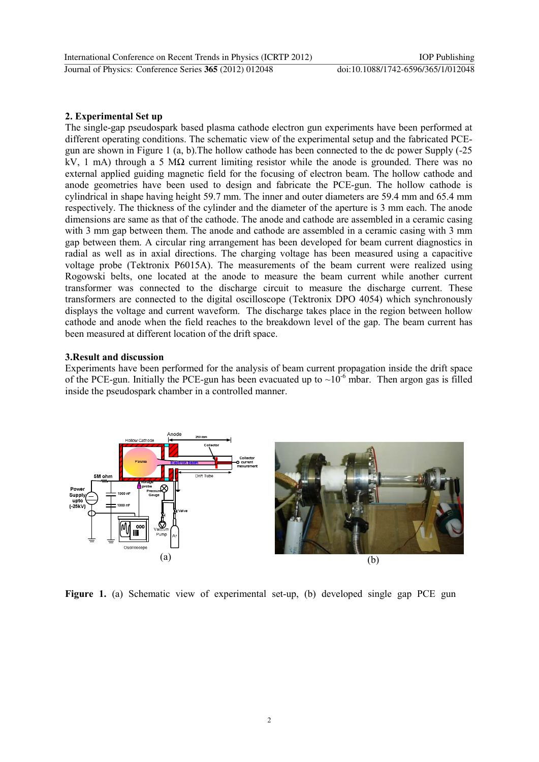#### 2. Experimental Set up

The single-gap pseudospark based plasma cathode electron gun experiments have been performed at different operating conditions. The schematic view of the experimental setup and the fabricated PCEgun are shown in Figure 1 (a, b).The hollow cathode has been connected to the dc power Supply (25 kV, 1 mA) through a 5 M $\Omega$  current limiting resistor while the anode is grounded. There was no external applied guiding magnetic field for the focusing of electron beam. The hollow cathode and anode geometries have been used to design and fabricate the PCE-gun. The hollow cathode is cylindrical in shape having height 59.7 mm. The inner and outer diameters are 59.4 mm and 65.4 mm respectively. The thickness of the cylinder and the diameter of the aperture is 3 mm each. The anode dimensions are same as that of the cathode. The anode and cathode are assembled in a ceramic casing with 3 mm gap between them. The anode and cathode are assembled in a ceramic casing with 3 mm gap between them. A circular ring arrangement has been developed for beam current diagnostics in radial as well as in axial directions. The charging voltage has been measured using a capacitive voltage probe (Tektronix P6015A). The measurements of the beam current were realized using Rogowski belts, one located at the anode to measure the beam current while another current transformer was connected to the discharge circuit to measure the discharge current. These transformers are connected to the digital oscilloscope (Tektronix DPO 4054) which synchronously displays the voltage and current waveform. The discharge takes place in the region between hollow cathode and anode when the field reaches to the breakdown level of the gap. The beam current has been measured at different location of the drift space.

#### 3. Result and discussion

Experiments have been performed for the analysis of beam current propagation inside the drift space of the PCE-gun. Initially the PCE-gun has been evacuated up to  $\sim 10^{-6}$  mbar. Then argon gas is filled inside the pseudospark chamber in a controlled manner.



Figure 1. (a) Schematic view of experimental set-up, (b) developed single gap PCE gun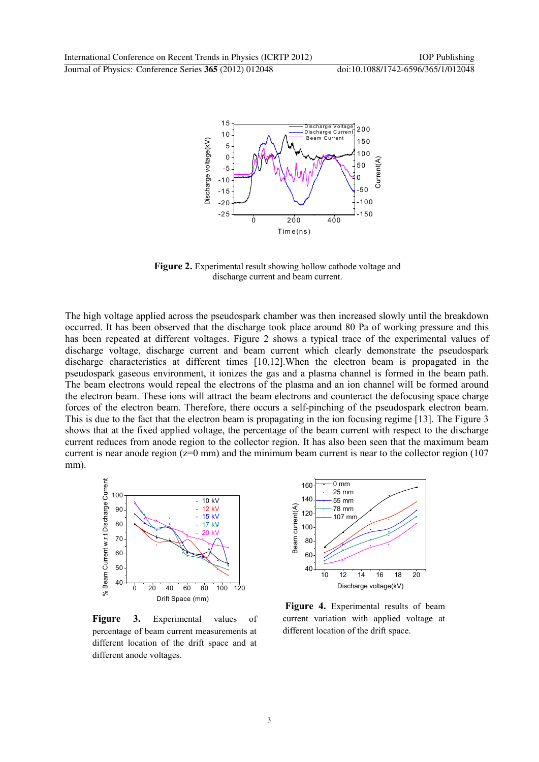

Figure 2. Experimental result showing hollow cathode voltage and discharge current and beam current.

The high voltage applied across the pseudospark chamber was then increased slowly until the breakdown occurred. It has been observed that the discharge took place around 80 Pa of working pressure and this has been repeated at different voltages. Figure 2 shows a typical trace of the experimental values of discharge voltage, discharge current and beam current which clearly demonstrate the pseudospark discharge characteristics at different times [10,12]. When the electron beam is propagated in the pseudospark gaseous environment, it ionizes the gas and a plasma channel is formed in the beam path. The beam electrons would repeal the electrons of the plasma and an ion channel will be formed around the electron beam. These ions will attract the beam electrons and counteract the defocusing space charge forces of the electron beam. Therefore, there occurs a self-pinching of the pseudospark electron beam. This is due to the fact that the electron beam is propagating in the ion focusing regime [13]. The Figure 3 shows that at the fixed applied voltage, the percentage of the beam current with respect to the discharge current reduces from anode region to the collector region. It has also been seen that the maximum beam current is near anode region  $(z=0$  mm) and the minimum beam current is near to the collector region  $(107)$ mm).



Figure 3. Experimental values of percentage of beam current measurements at different location of the drift space and at different anode voltages.



Figure 4. Experimental results of beam current variation with applied voltage at different location of the drift space.